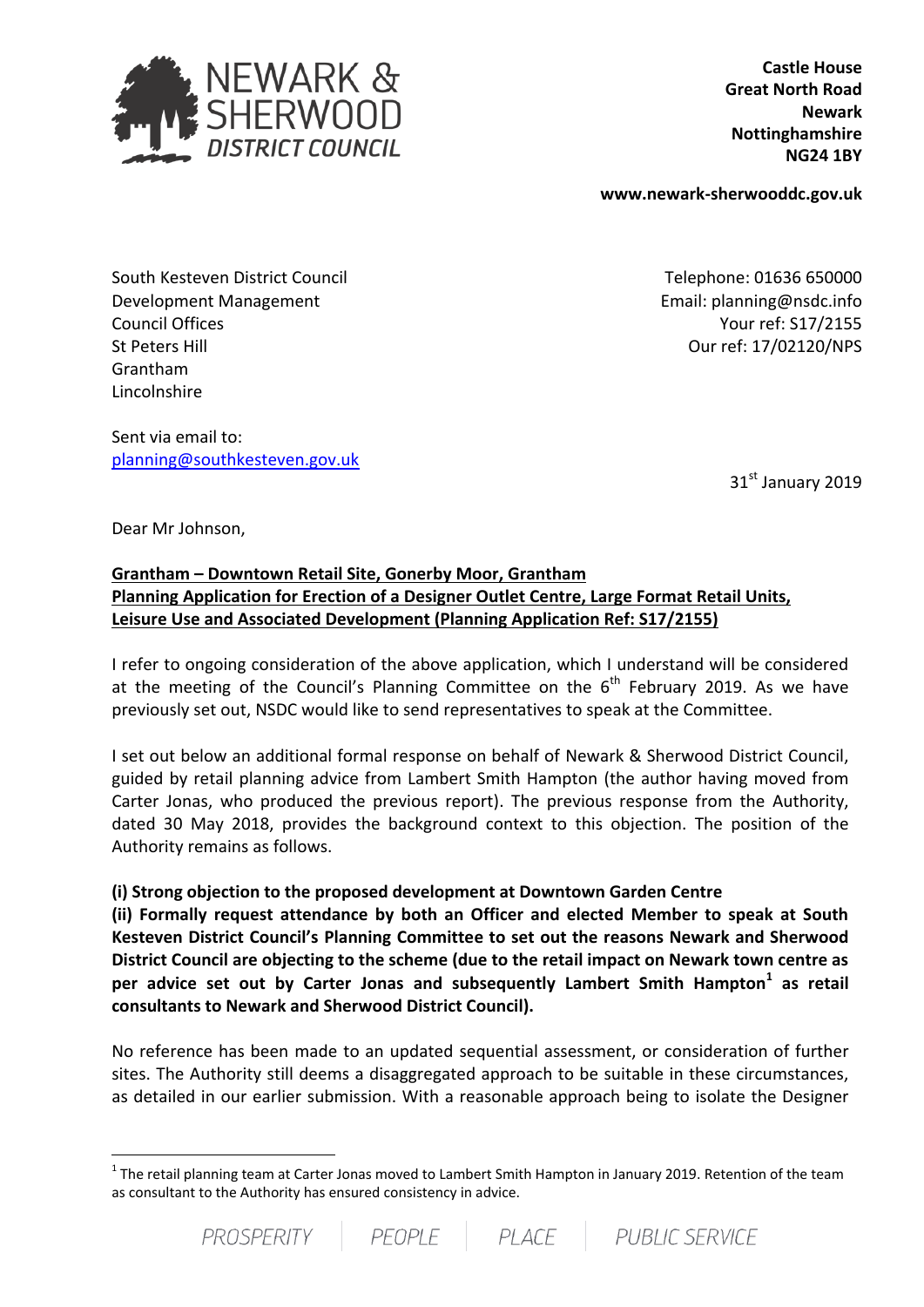

**Castle House Great North Road Newark Nottinghamshire NG24 1BY**

**www.newark-sherwooddc.gov.uk**

South Kesteven District Council Development Management Council Offices St Peters Hill Grantham Lincolnshire

Sent via email to: [planning@southkesteven.gov.uk](mailto:planning@southkesteven.gov.uk)

Telephone: 01636 650000 Email: planning@nsdc.info Your ref: S17/2155 Our ref: 17/02120/NPS

31st January 2019

Dear Mr Johnson,

.

## **Grantham – Downtown Retail Site, Gonerby Moor, Grantham Planning Application for Erection of a Designer Outlet Centre, Large Format Retail Units, Leisure Use and Associated Development (Planning Application Ref: S17/2155)**

I refer to ongoing consideration of the above application, which I understand will be considered at the meeting of the Council's Planning Committee on the  $6<sup>th</sup>$  February 2019. As we have previously set out, NSDC would like to send representatives to speak at the Committee.

I set out below an additional formal response on behalf of Newark & Sherwood District Council, guided by retail planning advice from Lambert Smith Hampton (the author having moved from Carter Jonas, who produced the previous report). The previous response from the Authority, dated 30 May 2018, provides the background context to this objection. The position of the Authority remains as follows.

## **(i) Strong objection to the proposed development at Downtown Garden Centre**

**(ii) Formally request attendance by both an Officer and elected Member to speak at South Kesteven District Council's Planning Committee to set out the reasons Newark and Sherwood District Council are objecting to the scheme (due to the retail impact on Newark town centre as per advice set out by Carter Jonas and subsequently Lambert Smith Hampton<sup>1</sup> as retail consultants to Newark and Sherwood District Council).**

No reference has been made to an updated sequential assessment, or consideration of further sites. The Authority still deems a disaggregated approach to be suitable in these circumstances, as detailed in our earlier submission. With a reasonable approach being to isolate the Designer

 $^1$  The retail planning team at Carter Jonas moved to Lambert Smith Hampton in January 2019. Retention of the team as consultant to the Authority has ensured consistency in advice.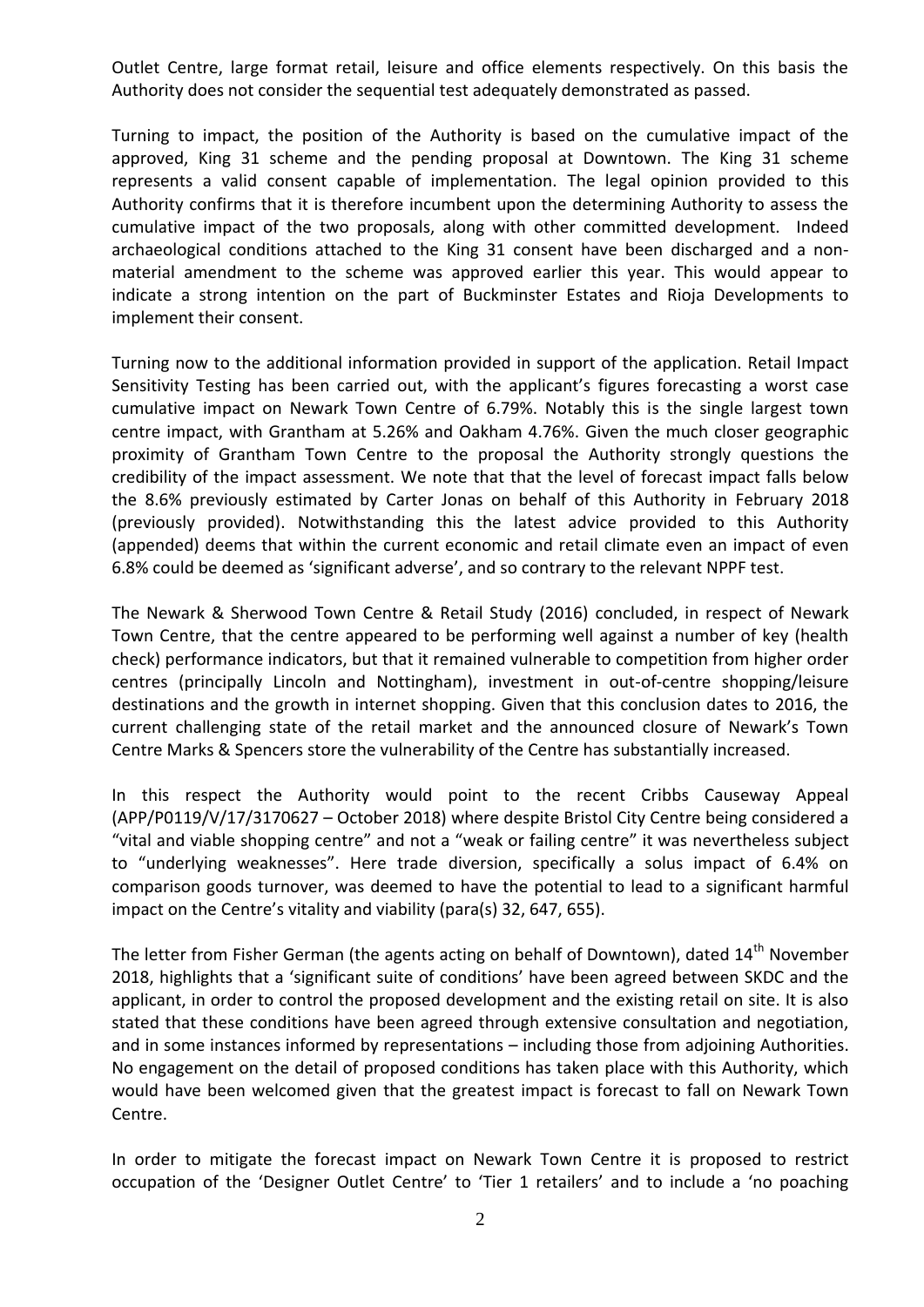Outlet Centre, large format retail, leisure and office elements respectively. On this basis the Authority does not consider the sequential test adequately demonstrated as passed.

Turning to impact, the position of the Authority is based on the cumulative impact of the approved, King 31 scheme and the pending proposal at Downtown. The King 31 scheme represents a valid consent capable of implementation. The legal opinion provided to this Authority confirms that it is therefore incumbent upon the determining Authority to assess the cumulative impact of the two proposals, along with other committed development. Indeed archaeological conditions attached to the King 31 consent have been discharged and a nonmaterial amendment to the scheme was approved earlier this year. This would appear to indicate a strong intention on the part of Buckminster Estates and Rioja Developments to implement their consent.

Turning now to the additional information provided in support of the application. Retail Impact Sensitivity Testing has been carried out, with the applicant's figures forecasting a worst case cumulative impact on Newark Town Centre of 6.79%. Notably this is the single largest town centre impact, with Grantham at 5.26% and Oakham 4.76%. Given the much closer geographic proximity of Grantham Town Centre to the proposal the Authority strongly questions the credibility of the impact assessment. We note that that the level of forecast impact falls below the 8.6% previously estimated by Carter Jonas on behalf of this Authority in February 2018 (previously provided). Notwithstanding this the latest advice provided to this Authority (appended) deems that within the current economic and retail climate even an impact of even 6.8% could be deemed as 'significant adverse', and so contrary to the relevant NPPF test.

The Newark & Sherwood Town Centre & Retail Study (2016) concluded, in respect of Newark Town Centre, that the centre appeared to be performing well against a number of key (health check) performance indicators, but that it remained vulnerable to competition from higher order centres (principally Lincoln and Nottingham), investment in out-of-centre shopping/leisure destinations and the growth in internet shopping. Given that this conclusion dates to 2016, the current challenging state of the retail market and the announced closure of Newark's Town Centre Marks & Spencers store the vulnerability of the Centre has substantially increased.

In this respect the Authority would point to the recent Cribbs Causeway Appeal (APP/P0119/V/17/3170627 – October 2018) where despite Bristol City Centre being considered a "vital and viable shopping centre" and not a "weak or failing centre" it was nevertheless subject to "underlying weaknesses". Here trade diversion, specifically a solus impact of 6.4% on comparison goods turnover, was deemed to have the potential to lead to a significant harmful impact on the Centre's vitality and viability (para(s) 32, 647, 655).

The letter from Fisher German (the agents acting on behalf of Downtown), dated 14<sup>th</sup> November 2018, highlights that a 'significant suite of conditions' have been agreed between SKDC and the applicant, in order to control the proposed development and the existing retail on site. It is also stated that these conditions have been agreed through extensive consultation and negotiation, and in some instances informed by representations – including those from adjoining Authorities. No engagement on the detail of proposed conditions has taken place with this Authority, which would have been welcomed given that the greatest impact is forecast to fall on Newark Town Centre.

In order to mitigate the forecast impact on Newark Town Centre it is proposed to restrict occupation of the 'Designer Outlet Centre' to 'Tier 1 retailers' and to include a 'no poaching